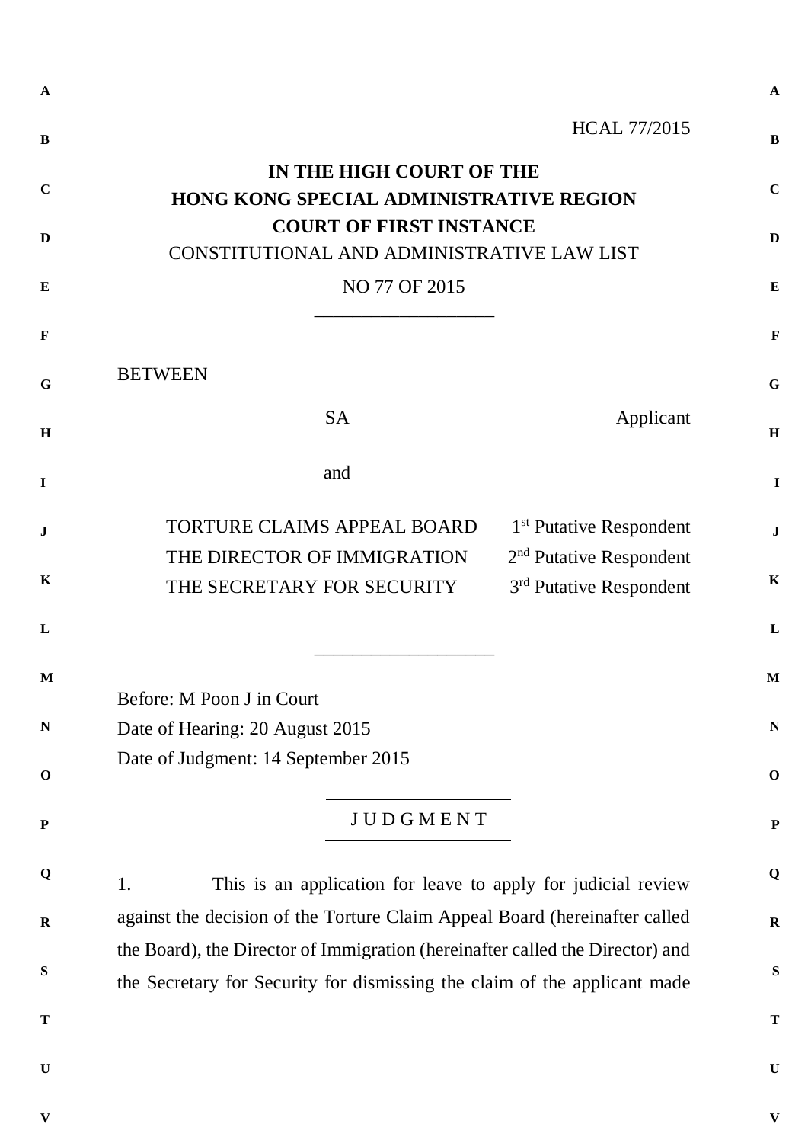| $\mathbf{A}$ |                                                                                                                                                            | $\mathbf{A}$              |  |  |  |
|--------------|------------------------------------------------------------------------------------------------------------------------------------------------------------|---------------------------|--|--|--|
| $\bf{B}$     | <b>HCAL 77/2015</b>                                                                                                                                        | $\bf{B}$                  |  |  |  |
| $\mathbf C$  | IN THE HIGH COURT OF THE<br>HONG KONG SPECIAL ADMINISTRATIVE REGION                                                                                        | $\mathbf C$               |  |  |  |
| D            | <b>COURT OF FIRST INSTANCE</b><br>CONSTITUTIONAL AND ADMINISTRATIVE LAW LIST                                                                               |                           |  |  |  |
| E            | NO 77 OF 2015                                                                                                                                              | $\bf{E}$                  |  |  |  |
| $\mathbf{F}$ |                                                                                                                                                            | $\mathbf F$               |  |  |  |
| G            | <b>BETWEEN</b>                                                                                                                                             | G                         |  |  |  |
| $\mathbf H$  | <b>SA</b><br>Applicant                                                                                                                                     | H                         |  |  |  |
| $\mathbf I$  | and                                                                                                                                                        | I                         |  |  |  |
| $\mathbf J$  | TORTURE CLAIMS APPEAL BOARD<br>1 <sup>st</sup> Putative Respondent<br>2 <sup>nd</sup> Putative Respondent<br>THE DIRECTOR OF IMMIGRATION                   | $\bf J$                   |  |  |  |
| $\mathbf K$  | 3 <sup>rd</sup> Putative Respondent<br>THE SECRETARY FOR SECURITY                                                                                          | $\mathbf K$               |  |  |  |
| L            |                                                                                                                                                            | L                         |  |  |  |
| M            | Before: M Poon J in Court                                                                                                                                  | M                         |  |  |  |
| N            | Date of Hearing: 20 August 2015                                                                                                                            | N                         |  |  |  |
| $\mathbf 0$  | Date of Judgment: 14 September 2015                                                                                                                        | $\mathbf 0$               |  |  |  |
| ${\bf P}$    | <b>JUDGMENT</b>                                                                                                                                            | $\mathbf{P}$              |  |  |  |
| Q            | This is an application for leave to apply for judicial review<br>1.                                                                                        | Q                         |  |  |  |
| $\mathbf R$  | against the decision of the Torture Claim Appeal Board (hereinafter called                                                                                 | $\bf{R}$                  |  |  |  |
| S            | the Board), the Director of Immigration (hereinafter called the Director) and<br>the Secretary for Security for dismissing the claim of the applicant made | S                         |  |  |  |
| T            |                                                                                                                                                            | T                         |  |  |  |
| $\mathbf U$  |                                                                                                                                                            | $\bf{U}$                  |  |  |  |
| V            |                                                                                                                                                            | $\boldsymbol{\mathrm{V}}$ |  |  |  |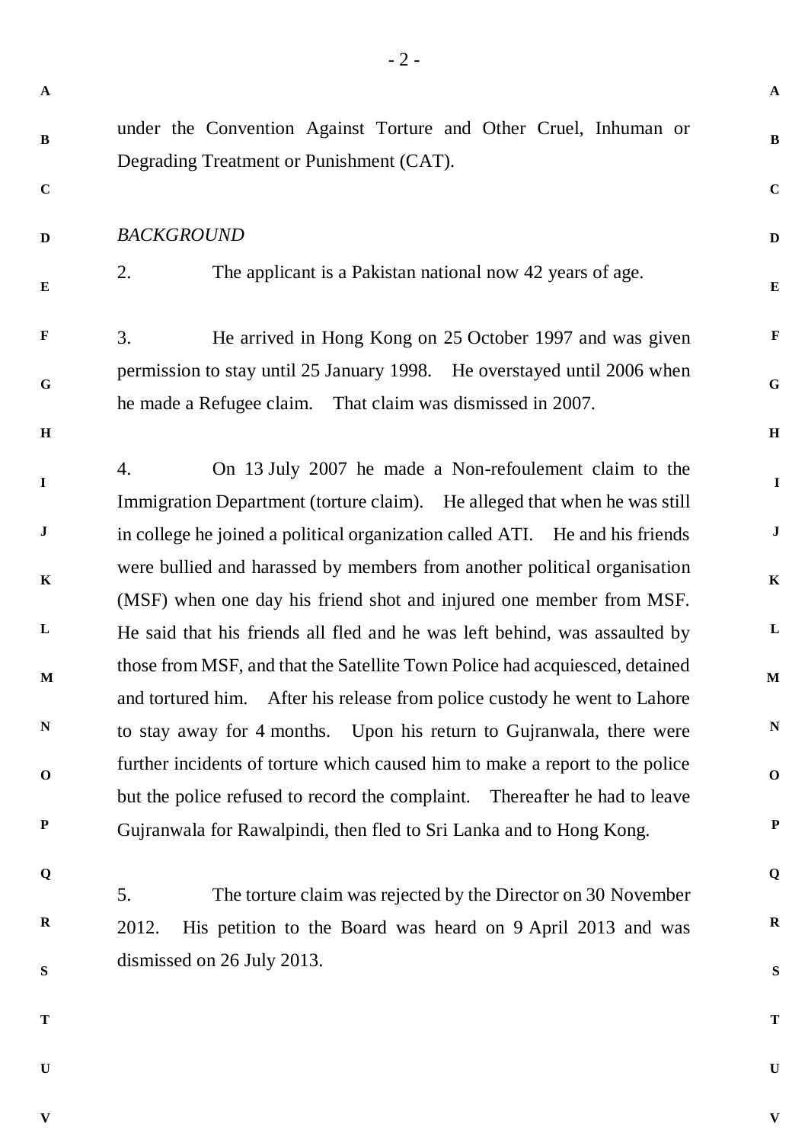**A B C D E F G H I J K L M N O P Q R S T U A B C D E F G H I J K L M N O P Q R S T U** under the Convention Against Torture and Other Cruel, Inhuman or Degrading Treatment or Punishment (CAT). *BACKGROUND* 2. The applicant is a Pakistan national now 42 years of age. 3. He arrived in Hong Kong on 25 October 1997 and was given permission to stay until 25 January 1998. He overstayed until 2006 when he made a Refugee claim. That claim was dismissed in 2007. 4. On 13 July 2007 he made a Non-refoulement claim to the Immigration Department (torture claim). He alleged that when he was still in college he joined a political organization called ATI. He and his friends were bullied and harassed by members from another political organisation (MSF) when one day his friend shot and injured one member from MSF. He said that his friends all fled and he was left behind, was assaulted by those from MSF, and that the Satellite Town Police had acquiesced, detained and tortured him. After his release from police custody he went to Lahore to stay away for 4 months. Upon his return to Gujranwala, there were further incidents of torture which caused him to make a report to the police but the police refused to record the complaint. Thereafter he had to leave Gujranwala for Rawalpindi, then fled to Sri Lanka and to Hong Kong. 5. The torture claim was rejected by the Director on 30 November 2012. His petition to the Board was heard on 9 April 2013 and was dismissed on 26 July 2013.

**V**

- 2 -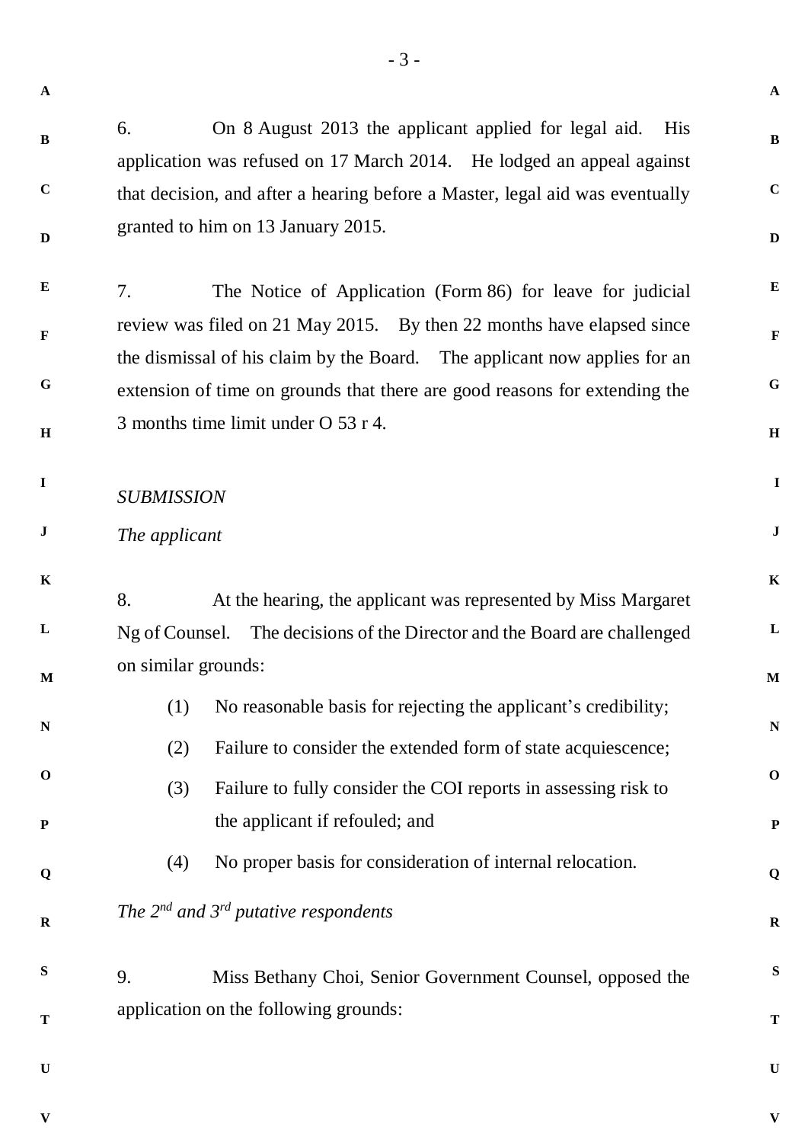**A B C D E F G H I J K L M N O P Q R S T U A B C D E F G H I J K L M N O P Q R S T U** 6. On 8 August 2013 the applicant applied for legal aid. His application was refused on 17 March 2014. He lodged an appeal against that decision, and after a hearing before a Master, legal aid was eventually granted to him on 13 January 2015. 7. The Notice of Application (Form 86) for leave for judicial review was filed on 21 May 2015. By then 22 months have elapsed since the dismissal of his claim by the Board. The applicant now applies for an extension of time on grounds that there are good reasons for extending the 3 months time limit under O 53 r 4. *SUBMISSION The applicant* 8. At the hearing, the applicant was represented by Miss Margaret Ng of Counsel. The decisions of the Director and the Board are challenged on similar grounds: (1) No reasonable basis for rejecting the applicant's credibility; (2) Failure to consider the extended form of state acquiescence; (3) Failure to fully consider the COI reports in assessing risk to the applicant if refouled; and (4) No proper basis for consideration of internal relocation. *The 2nd and 3rd putative respondents* 9. Miss Bethany Choi, Senior Government Counsel, opposed the application on the following grounds:

**V**

- 3 -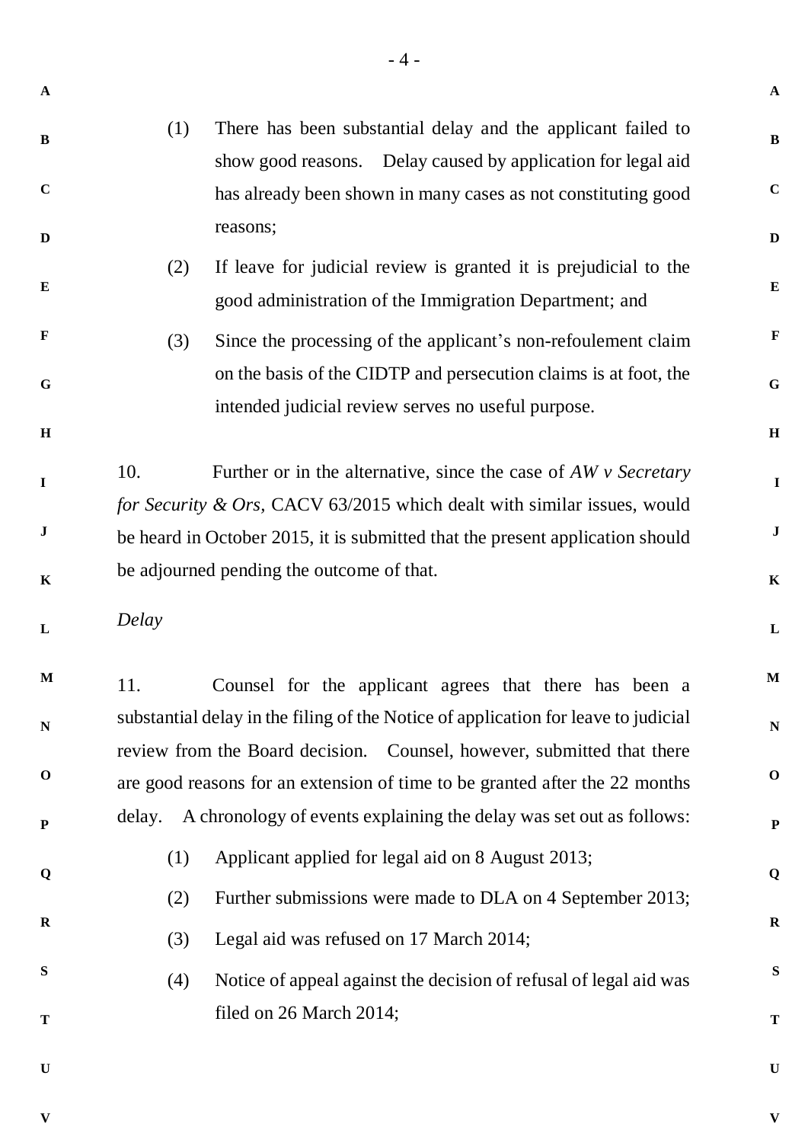**B C D E F G H I J K L M N O P Q R S T** (1) There has been substantial delay and the applicant failed to show good reasons. Delay caused by application for legal aid has already been shown in many cases as not constituting good reasons; (2) If leave for judicial review is granted it is prejudicial to the good administration of the Immigration Department; and (3) Since the processing of the applicant's non-refoulement claim on the basis of the CIDTP and persecution claims is at foot, the intended judicial review serves no useful purpose. 10. Further or in the alternative, since the case of *AW v Secretary for Security & Ors,* CACV 63/2015 which dealt with similar issues, would be heard in October 2015, it is submitted that the present application should be adjourned pending the outcome of that. *Delay* 11. Counsel for the applicant agrees that there has been a substantial delay in the filing of the Notice of application for leave to judicial review from the Board decision. Counsel, however, submitted that there are good reasons for an extension of time to be granted after the 22 months delay. A chronology of events explaining the delay was set out as follows: (1) Applicant applied for legal aid on 8 August 2013; (2) Further submissions were made to DLA on 4 September 2013; (3) Legal aid was refused on 17 March 2014; (4) Notice of appeal against the decision of refusal of legal aid was filed on 26 March 2014;

- 4 -

**U**

**A**

**V**

**V**

**A**

**B**

**C**

**D**

**E**

**F**

**G**

**H**

**I**

**J**

**K**

**L**

**M**

**N**

**O**

**P**

**Q**

**R**

**S**

**T**

**U**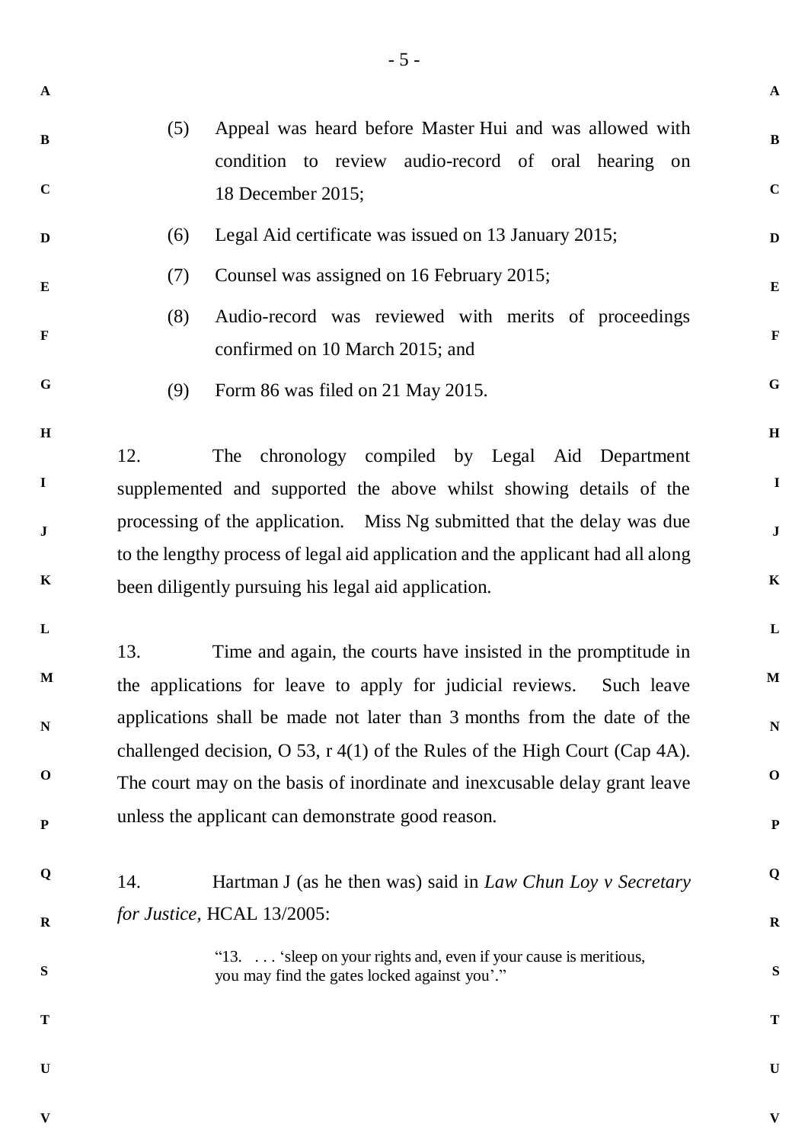| $\mathbf{A}$ |     |                                                                                                                                                            | $\mathbf{A}$ |
|--------------|-----|------------------------------------------------------------------------------------------------------------------------------------------------------------|--------------|
| $\mathbf{B}$ | (5) | Appeal was heard before Master Hui and was allowed with<br>condition to review audio-record of oral hearing on                                             | $\bf{B}$     |
| $\mathbf C$  |     | 18 December 2015;                                                                                                                                          | $\mathbf C$  |
| D            | (6) | Legal Aid certificate was issued on 13 January 2015;                                                                                                       | D            |
| $\bf{E}$     | (7) | Counsel was assigned on 16 February 2015;                                                                                                                  | ${\bf E}$    |
| $\mathbf{F}$ | (8) | Audio-record was reviewed with merits of proceedings<br>confirmed on 10 March 2015; and                                                                    | $\mathbf{F}$ |
| G            | (9) | Form 86 was filed on 21 May 2015.                                                                                                                          | $\mathbf G$  |
| $\mathbf H$  | 12. | The chronology compiled by Legal Aid Department                                                                                                            | $\mathbf H$  |
| $\mathbf I$  |     | supplemented and supported the above whilst showing details of the                                                                                         | $\mathbf{I}$ |
| $\bf J$      |     | processing of the application. Miss Ng submitted that the delay was due<br>to the lengthy process of legal aid application and the applicant had all along | $\mathbf{J}$ |
| $\mathbf K$  |     | been diligently pursuing his legal aid application.                                                                                                        | $\mathbf K$  |
| $\mathbf{L}$ |     |                                                                                                                                                            | $\mathbf{L}$ |
| $\mathbf{M}$ | 13. | Time and again, the courts have insisted in the promptitude in<br>the applications for leave to apply for judicial reviews. Such leave                     | $\mathbf M$  |
| $\mathbf N$  |     | applications shall be made not later than 3 months from the date of the<br>challenged decision, O 53, $r(41)$ of the Rules of the High Court (Cap 4A).     | ${\bf N}$    |
| $\mathbf 0$  |     | The court may on the basis of inordinate and inexcusable delay grant leave                                                                                 | $\mathbf 0$  |
| ${\bf P}$    |     | unless the applicant can demonstrate good reason.                                                                                                          | ${\bf P}$    |
| Q            | 14. | Hartman J (as he then was) said in <i>Law Chun Loy v Secretary</i>                                                                                         | Q            |
| $\mathbf R$  |     | for Justice, HCAL 13/2005:                                                                                                                                 | $\mathbf R$  |
| S            |     | "13. 'sleep on your rights and, even if your cause is meritious,<br>you may find the gates locked against you'."                                           | ${\bf S}$    |
| T            |     |                                                                                                                                                            | T            |
| U            |     |                                                                                                                                                            | U            |

**V**

- 5 -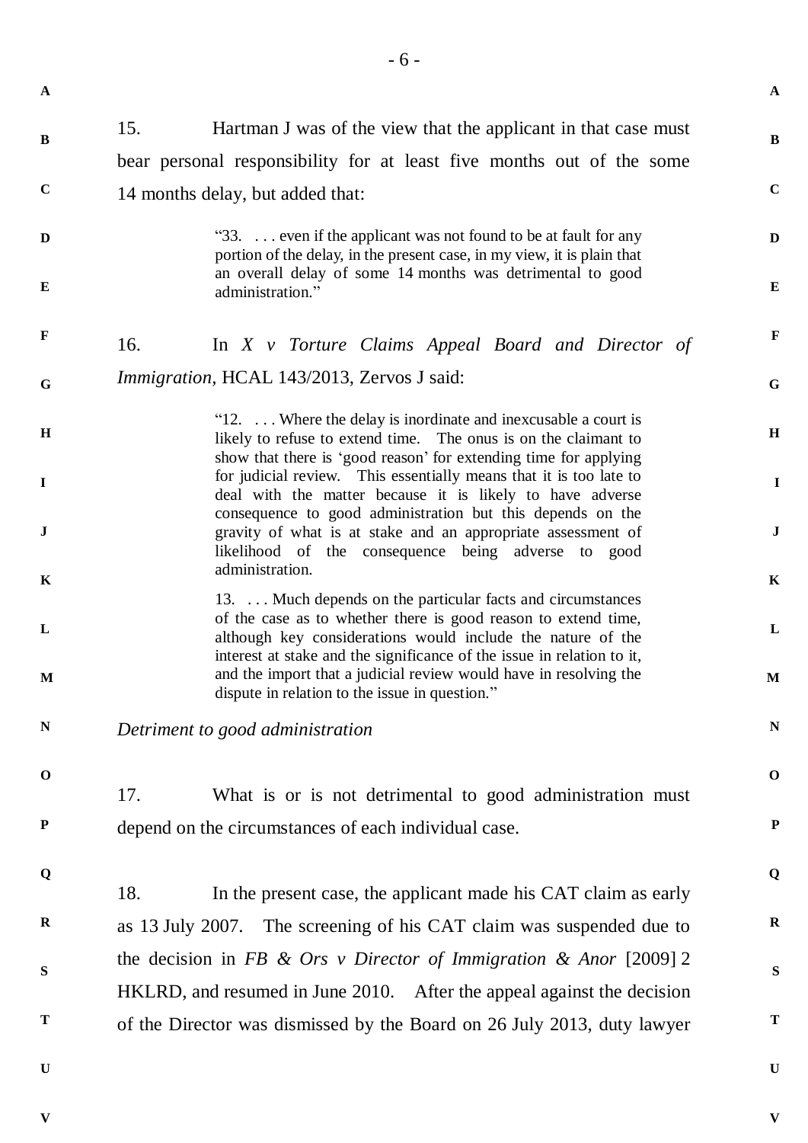**A**

**V**

| $\, {\bf B}$ | 15.                                                                    | Hartman J was of the view that the applicant in that case must                                                                                                                                                                                                         | $\bf{B}$     |  |  |  |
|--------------|------------------------------------------------------------------------|------------------------------------------------------------------------------------------------------------------------------------------------------------------------------------------------------------------------------------------------------------------------|--------------|--|--|--|
|              |                                                                        | bear personal responsibility for at least five months out of the some                                                                                                                                                                                                  |              |  |  |  |
| $\mathbf C$  | $\mathbf C$<br>14 months delay, but added that:                        |                                                                                                                                                                                                                                                                        |              |  |  |  |
| $\mathbf{D}$ |                                                                        | "33.  even if the applicant was not found to be at fault for any<br>portion of the delay, in the present case, in my view, it is plain that                                                                                                                            | D            |  |  |  |
| E            |                                                                        | an overall delay of some 14 months was detrimental to good<br>administration."                                                                                                                                                                                         | $\bf{E}$     |  |  |  |
| $\mathbf F$  | 16.                                                                    | In $X \vee$ Torture Claims Appeal Board and Director of                                                                                                                                                                                                                | $\mathbf F$  |  |  |  |
| G            |                                                                        | <i>Immigration, HCAL 143/2013, Zervos J said:</i>                                                                                                                                                                                                                      | $\mathbf G$  |  |  |  |
| $\mathbf H$  |                                                                        | " $12. \ldots$ Where the delay is inordinate and inexcusable a court is<br>likely to refuse to extend time. The onus is on the claimant to<br>show that there is 'good reason' for extending time for applying                                                         | H            |  |  |  |
| $\mathbf I$  |                                                                        | for judicial review. This essentially means that it is too late to<br>deal with the matter because it is likely to have adverse<br>consequence to good administration but this depends on the                                                                          | $\mathbf{I}$ |  |  |  |
| ${\bf J}$    |                                                                        | gravity of what is at stake and an appropriate assessment of<br>likelihood of the consequence being adverse to good                                                                                                                                                    | $\bf J$      |  |  |  |
| $\mathbf K$  |                                                                        | administration.                                                                                                                                                                                                                                                        | $\mathbf K$  |  |  |  |
| L            |                                                                        | 13.  Much depends on the particular facts and circumstances<br>of the case as to whether there is good reason to extend time,<br>although key considerations would include the nature of the<br>interest at stake and the significance of the issue in relation to it, | $\mathbf{L}$ |  |  |  |
| $\mathbf{M}$ |                                                                        | and the import that a judicial review would have in resolving the<br>dispute in relation to the issue in question."                                                                                                                                                    | $\mathbf M$  |  |  |  |
| ${\bf N}$    | Detriment to good administration                                       |                                                                                                                                                                                                                                                                        |              |  |  |  |
| $\mathbf 0$  | 17.                                                                    | What is or is not detrimental to good administration must                                                                                                                                                                                                              | $\mathbf 0$  |  |  |  |
| ${\bf P}$    |                                                                        | depend on the circumstances of each individual case.                                                                                                                                                                                                                   | ${\bf P}$    |  |  |  |
| Q            |                                                                        |                                                                                                                                                                                                                                                                        | Q            |  |  |  |
|              | 18.                                                                    | In the present case, the applicant made his CAT claim as early                                                                                                                                                                                                         |              |  |  |  |
| $\mathbf R$  |                                                                        | as 13 July 2007. The screening of his CAT claim was suspended due to                                                                                                                                                                                                   | $\bf R$      |  |  |  |
| ${\bf S}$    | the decision in FB & Ors v Director of Immigration & Anor [2009] 2     |                                                                                                                                                                                                                                                                        |              |  |  |  |
|              | HKLRD, and resumed in June 2010. After the appeal against the decision |                                                                                                                                                                                                                                                                        |              |  |  |  |
| T            |                                                                        | of the Director was dismissed by the Board on 26 July 2013, duty lawyer                                                                                                                                                                                                | T            |  |  |  |
| $\mathbf U$  |                                                                        |                                                                                                                                                                                                                                                                        | $\mathbf U$  |  |  |  |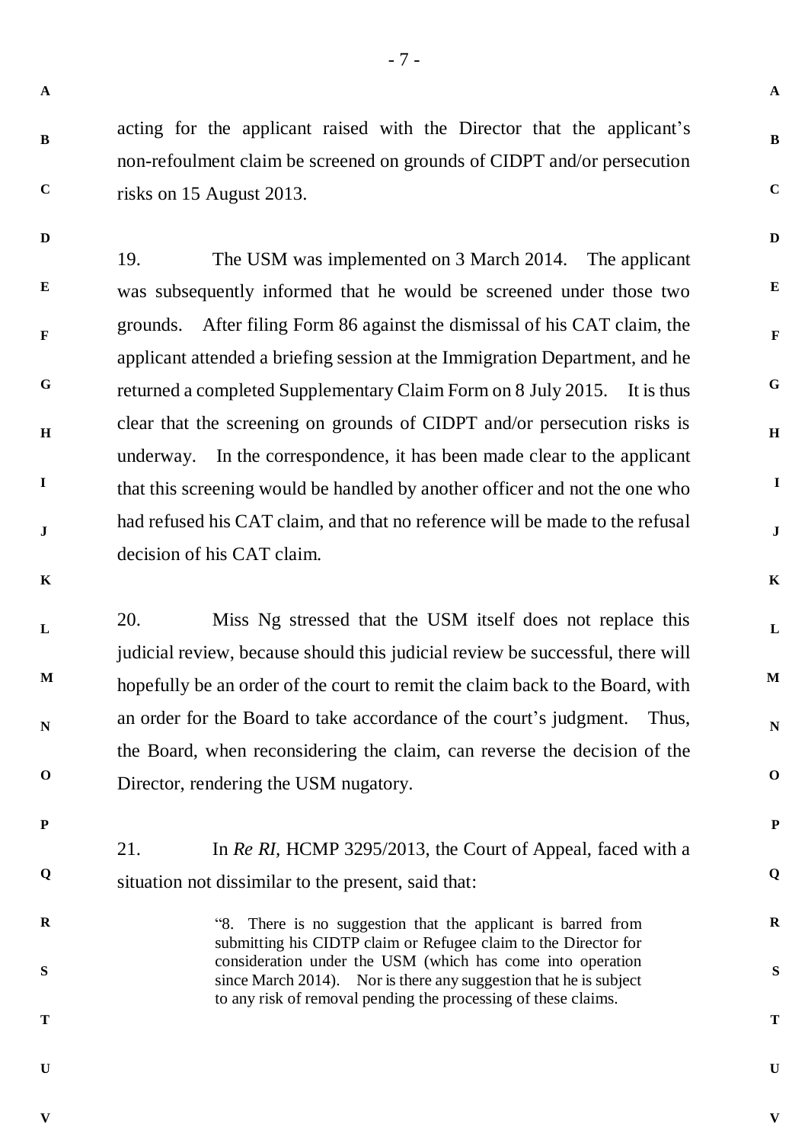- 7 -

**A**

**B**

**C**

**D**

**E**

**F**

**G**

**H**

**I**

**J**

**K**

**L**

**M**

**N**

**O**

**P**

**Q**

**R**

**S**

**T**

**B C**

**D**

acting for the applicant raised with the Director that the applicant's non-refoulment claim be screened on grounds of CIDPT and/or persecution risks on 15 August 2013.

**E F G H I J** 19. The USM was implemented on 3 March 2014. The applicant was subsequently informed that he would be screened under those two grounds. After filing Form 86 against the dismissal of his CAT claim, the applicant attended a briefing session at the Immigration Department, and he returned a completed Supplementary Claim Form on 8 July 2015. It is thus clear that the screening on grounds of CIDPT and/or persecution risks is underway. In the correspondence, it has been made clear to the applicant that this screening would be handled by another officer and not the one who had refused his CAT claim, and that no reference will be made to the refusal decision of his CAT claim.

20. Miss Ng stressed that the USM itself does not replace this judicial review, because should this judicial review be successful, there will hopefully be an order of the court to remit the claim back to the Board, with an order for the Board to take accordance of the court's judgment. Thus, the Board, when reconsidering the claim, can reverse the decision of the Director, rendering the USM nugatory.

**P**

**O**

**K**

**L**

**M**

**N**

**Q**

**R**

21. In *Re RI,* HCMP 3295/2013, the Court of Appeal, faced with a situation not dissimilar to the present, said that:

> "8. There is no suggestion that the applicant is barred from submitting his CIDTP claim or Refugee claim to the Director for consideration under the USM (which has come into operation since March 2014). Nor is there any suggestion that he is subject to any risk of removal pending the processing of these claims.

**S**

**T**

**U**

**V**

**U**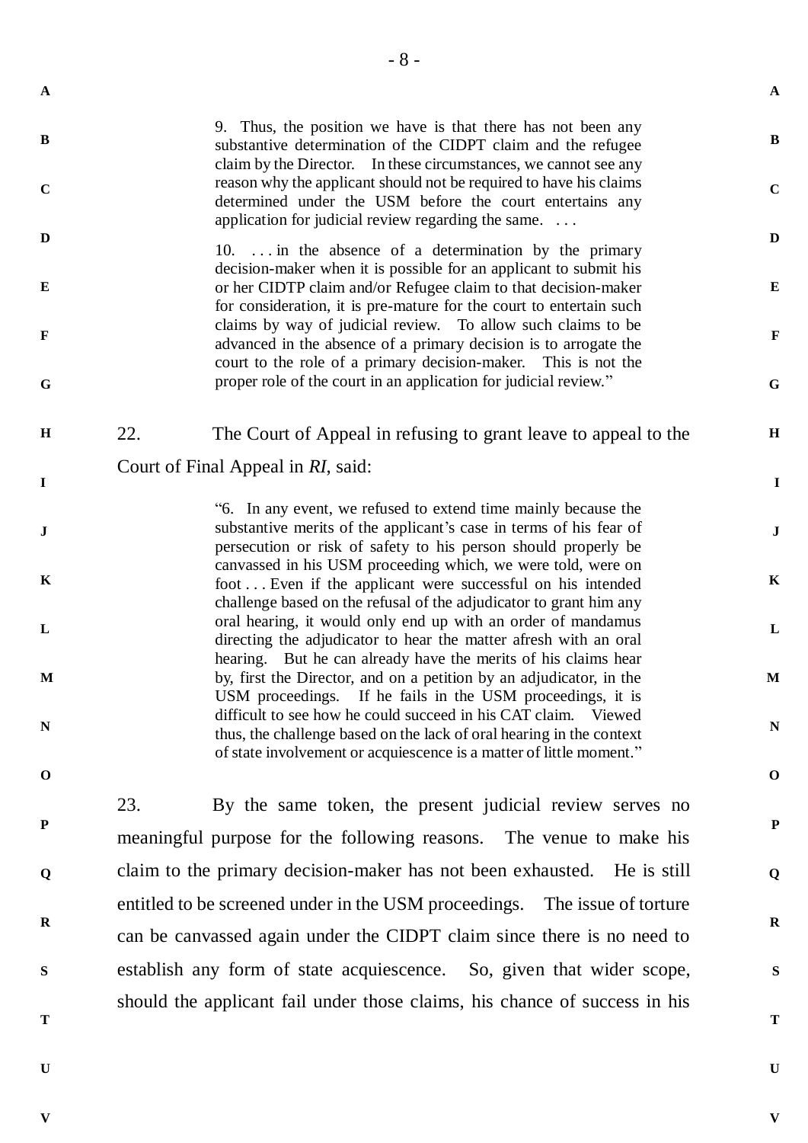**B**

**C**

**D**

**E**

9. Thus, the position we have is that there has not been any substantive determination of the CIDPT claim and the refugee claim by the Director. In these circumstances, we cannot see any reason why the applicant should not be required to have his claims determined under the USM before the court entertains any application for judicial review regarding the same. . . .

- 8 -

10. . . . in the absence of a determination by the primary decision-maker when it is possible for an applicant to submit his or her CIDTP claim and/or Refugee claim to that decision-maker for consideration, it is pre-mature for the court to entertain such claims by way of judicial review. To allow such claims to be advanced in the absence of a primary decision is to arrogate the court to the role of a primary decision-maker. This is not the proper role of the court in an application for judicial review."

**H I** 22. The Court of Appeal in refusing to grant leave to appeal to the Court of Final Appeal in *RI*, said:

> "6. In any event, we refused to extend time mainly because the substantive merits of the applicant's case in terms of his fear of persecution or risk of safety to his person should properly be canvassed in his USM proceeding which, we were told, were on foot . . . Even if the applicant were successful on his intended challenge based on the refusal of the adjudicator to grant him any oral hearing, it would only end up with an order of mandamus directing the adjudicator to hear the matter afresh with an oral hearing. But he can already have the merits of his claims hear by, first the Director, and on a petition by an adjudicator, in the USM proceedings. If he fails in the USM proceedings, it is difficult to see how he could succeed in his CAT claim. Viewed thus, the challenge based on the lack of oral hearing in the context of state involvement or acquiescence is a matter of little moment."

**O**

**P**

**Q**

**R**

**S**

**N**

23. By the same token, the present judicial review serves no meaningful purpose for the following reasons. The venue to make his claim to the primary decision-maker has not been exhausted. He is still entitled to be screened under in the USM proceedings. The issue of torture can be canvassed again under the CIDPT claim since there is no need to establish any form of state acquiescence. So, given that wider scope, should the applicant fail under those claims, his chance of success in his

**T**

**U**

**V**

**U**

**V**

**A**

**B**

**C**

**D**

**E**

**F**

**G**

**H**

**I**

**J**

**K**

**L**

**M**

**N**

**O**

**P**

**Q**

**R**

**S**

**T**